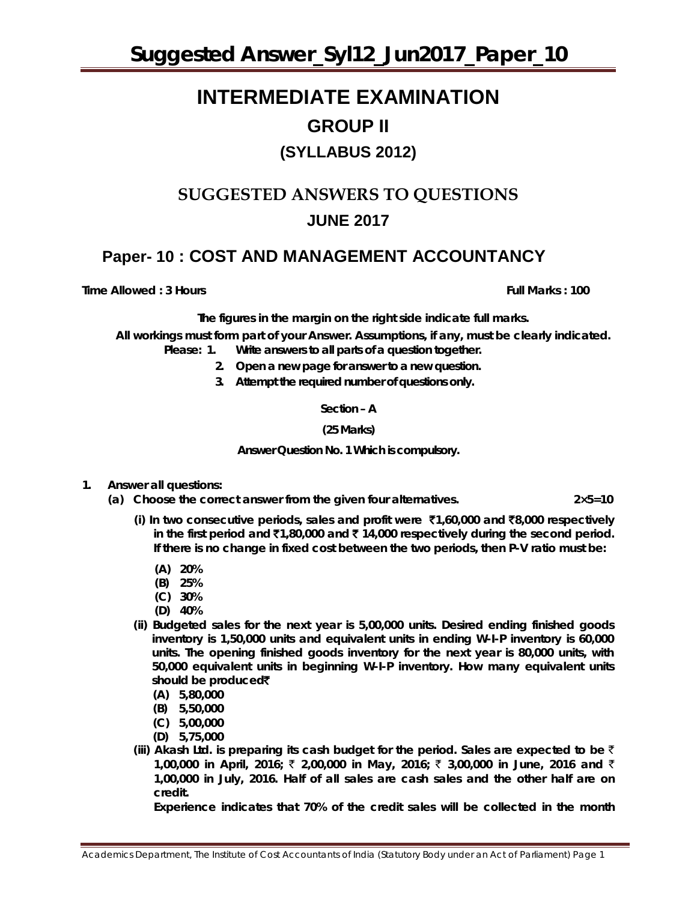### **INTERMEDIATE EXAMINATION GROUP II (SYLLABUS 2012)**

### **SUGGESTED ANSWERS TO QUESTIONS JUNE 2017**

### **Paper- 10 : COST AND MANAGEMENT ACCOUNTANCY**

**Time Allowed : 3 Hours Full Marks : 100**

*T***he figures in the margin on the right side indicate full marks.**

**All workings must form part of your Answer. Assumptions, if any, must be clearly indicated.** *Please: 1. Write answers to all parts of a question together.*

- *2. Open a new page for answer to a new question.*
- *3. Attempt the required number of questions only.*

**Section – A**

**(25 Marks)** 

**Answer Question No. 1 Which is compulsory.** 

- **1. Answer all questions:**
	- **(a) Choose the correct answer from the given four alternatives. 2×5=10**
		- **(i) In two consecutive periods, sales and profit were** `**1,60,000 and** `**8,000 respectively in the first period and** `**1,80,000 and** ` **14,000 respectively during the second period. If there is no change in fixed cost between the two periods, then P-V ratio must be:**
			- **(A) 20%**
			- **(B) 25%**
			- **(C) 30%**
			- **(D) 40%**
		- **(ii) Budgeted sales for the next year is 5,00,000 units. Desired ending finished goods inventory is 1,50,000 units and equivalent units in ending W-I-P inventory is 60,000 units. The opening finished goods inventory for the next year is 80,000 units, with 50,000 equivalent units in beginning W-I-P inventory. How many equivalent units should be produced**`
			- **(A) 5,80,000**
			- **(B) 5,50,000**
			- **(C) 5,00,000**
			- **(D) 5,75,000**
		- **(iii) Akash Ltd. is preparing its cash budget for the period. Sales are expected to be** ` **1,00,000 in April, 2016;** ` **2,00,000 in May, 2016;** ` **3,00,000 in June, 2016 and** ` **1,00,000 in July, 2016. Half of all sales are cash sales and the other half are on credit.**

**Experience indicates that 70% of the credit sales will be collected in the month**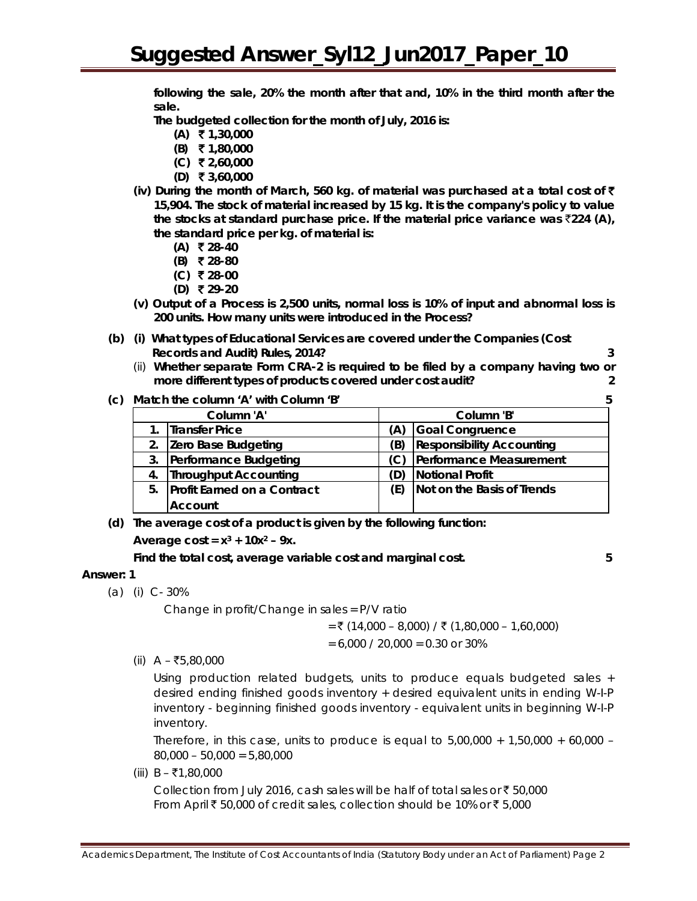**following the sale, 20% the month after that and, 10% in the third month after the sale.**

**The budgeted collection for the month of July, 2016 is:**

- **(A)** ` **1,30,000**
- **(B)** ` **1,80,000**
- **(C)** ` **2,60,000**
- **(D)** ` **3,60,000**
- **(iv) During the month of March, 560 kg. of material was purchased at a total cost of** ` **15,904. The stock of material increased by 15 kg. It is the company's policy to value**  the stocks at standard purchase price. If the material price variance was  $\bar{z}$ 224 (A), **the standard price per kg. of material is:**
	- **(A)** ` **28-40**
	- **(B)** ` **28-80**
	- **(C)** ` **28-00**
	- **(D)** ` **29-20**
- **(v) Output of a Process is 2,500 units, normal loss is 10% of input and abnormal loss is 200 units. How many units were introduced in the Process?**
- **(b) (i) What types of Educational Services are covered under the Companies (Cost Records and Audit) Rules, 2014? 3**
	- (ii) **Whether separate Form CRA-2 is required to be filed by a company having two or more different types of products covered under cost audit? 2**
- **(c) Match the column 'A' with Column 'B' 5**

|    | $m$ atch the column $R$ with column $D$ |     |                                  |
|----|-----------------------------------------|-----|----------------------------------|
|    | Column 'A'                              |     | Column 'B'                       |
| 1. | <b>Transfer Price</b>                   | A)  | Goal Congruence                  |
| 2. | Zero Base Budgeting                     | B)  | <b>Responsibility Accounting</b> |
| 3. | Performance Budgeting                   |     | Performance Measurement          |
|    | 4. Throughput Accounting                | (D) | Notional Profit                  |
|    | 5. Profit Earned on a Contract          | E)  | Not on the Basis of Trends       |
|    | <b>Account</b>                          |     |                                  |

**(d) The average cost of a product is given by the following function:**

**Average cost =**  $x^3$  **+ 10** $x^2$  **– 9x.** 

**Find the total cost, average variable cost and marginal cost. 5** 

#### **Answer: 1**

(a) (i) C- 30%

Change in profit/Change in sales = P/V ratio

 $=$  ₹ (14,000 – 8,000) / ₹ (1,80,000 – 1,60,000)

 $= 6,000 / 20,000 = 0.30$  or 30%

(ii)  $A - ₹5,80,000$ 

Using production related budgets, units to produce equals budgeted sales + desired ending finished goods inventory + desired equivalent units in ending W-I-P inventory - beginning finished goods inventory - equivalent units in beginning W-I-P inventory.

Therefore, in this case, units to produce is equal to  $5,00,000 + 1,50,000 + 60,000 -$ 80,000 – 50,000 = 5,80,000

(iii)  $B - ₹1,80,000$ 

Collection from July 2016, cash sales will be half of total sales or  $\bar{z}$  50,000 From April  $\bar{\tau}$  50,000 of credit sales, collection should be 10% or  $\bar{\tau}$  5,000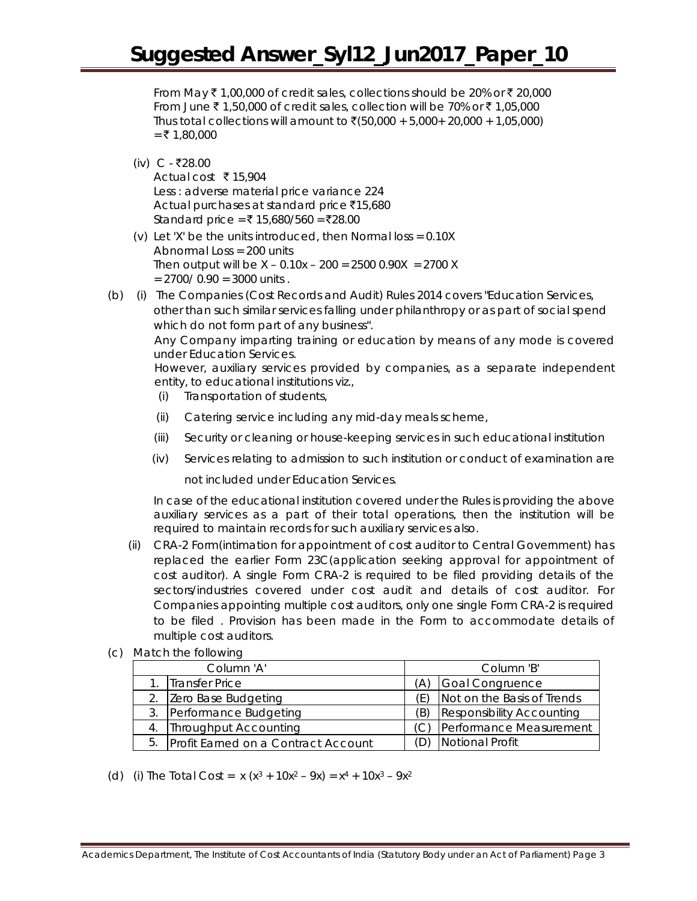From May  $\bar{\tau}$  1,00,000 of credit sales, collections should be 20% or  $\bar{\tau}$  20,000 From June  $\bar{\tau}$  1,50,000 of credit sales, collection will be 70% or  $\bar{\tau}$  1,05,000 Thus total collections will amount to  $\bar{z}$ (50,000 + 5,000+ 20,000 + 1,05,000)  $=$  ₹ 1,80,000

(iv)  $C - ₹28.00$ 

Actual cost  $\bar{\tau}$  15,904 Less : adverse material price variance 224 Actual purchases at standard price  $\bar{x}$ 15,680 Standard price = ₹ 15,680/560 = ₹28.00

- (v) Let 'X' be the units introduced, then Normal loss =  $0.10X$ Abnormal Loss = 200 units Then output will be  $X - 0.10x - 200 = 25000.90X = 2700X$  $= 2700/0.90 = 3000$  units.
- (b) (i) The Companies (Cost Records and Audit) Rules 2014 covers "Education Services, other than such similar services falling under philanthropy or as part of social spend which do not form part of any business".

Any Company imparting training or education by means of any mode is covered under Education Services.

However, auxiliary services provided by companies, as a separate independent entity, to educational institutions viz.,

- (i) Transportation of students,
- (ii) Catering service including any mid-day meals scheme,
- (iii) Security or cleaning or house-keeping services in such educational institution
- (iv) Services relating to admission to such institution or conduct of examination are

not included under Education Services.

In case of the educational institution covered under the Rules is providing the above auxiliary services as a part of their total operations, then the institution will be required to maintain records for such auxiliary services also.

- (ii) CRA-2 Form(intimation for appointment of cost auditor to Central Government) has replaced the earlier Form 23C(application seeking approval for appointment of cost auditor). A single Form CRA-2 is required to be filed providing details of the sectors/industries covered under cost audit and details of cost auditor. For Companies appointing multiple cost auditors, only one single Form CRA-2 is required to be filed . Provision has been made in the Form to accommodate details of multiple cost auditors.
- (c) Match the following

| Column 'A'                             |    | Column 'B'                       |  |  |
|----------------------------------------|----|----------------------------------|--|--|
| 1. Transfer Price                      |    | Goal Congruence                  |  |  |
| 2. Zero Base Budgeting                 | F) | Not on the Basis of Trends       |  |  |
| 3. Performance Budgeting               | Έ) | <b>Responsibility Accounting</b> |  |  |
| 4. Throughput Accounting               |    | (C) Performance Measurement      |  |  |
| 5. Profit Earned on a Contract Account |    | Notional Profit                  |  |  |

(d) (i) The Total Cost =  $x (x^3 + 10x^2 - 9x) = x^4 + 10x^3 - 9x^2$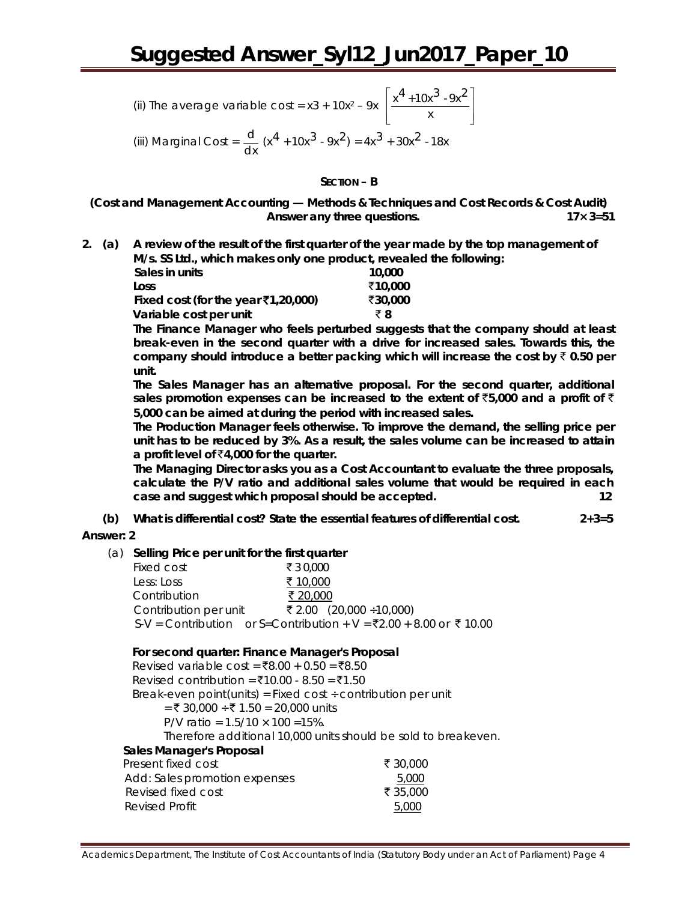(ii) The average variable cost = 
$$
x^3 + 10x^2 - 9x \left[ \frac{x^4 + 10x^3 - 9x^2}{x} \right]
$$

(iii) Marginal Cost =  $\frac{d}{dx}$  (x<sup>4</sup> + 10x<sup>3</sup> - 9x<sup>2</sup>) = 4x<sup>3</sup> + 30x<sup>2</sup> - 18x

**SECTION – B**

**(Cost and Management Accounting — Methods & Techniques and Cost Records & Cost Audit) Answer** *any three* **questions. 17× 3=51**

**2. (a) A review of the result of the first quarter of the year made by the top management of M/s. SS Ltd., which makes only one product, revealed the following:**

| 10,000  |
|---------|
| ₹10,000 |
| ₹30.000 |
| ₹8      |
|         |

**The Finance Manager who feels perturbed suggests that the company should at least break-even in the second quarter with a drive for increased sales. Towards this, the company should introduce a better packing which will increase the cost by** ` **0.50 per unit.**

**The Sales Manager has an alternative proposal. For the second quarter, additional**  sales promotion expenses can be increased to the extent of  $\overline{5}$ ,000 and a profit of  $\overline{5}$ **5,000 can be aimed at during the period with increased sales.**

**The Production Manager feels otherwise. To improve the demand, the selling price per unit has to be reduced by 3%. As a result, the sales volume can be increased to attain a profit level of** `**4,000 for the quarter.**

**The Managing Director asks you as a Cost Accountant to evaluate the three proposals, calculate the P/V ratio and additional sales volume that would be required in each case and suggest which proposal should be accepted. 12**

**(b) What is differential cost? State the essential features of differential cost. 2+3=5**

#### **Answer: 2**

(a) **Selling Price per unit for the first quarter**

| Fixed cost            | ₹30,000                                                            |
|-----------------------|--------------------------------------------------------------------|
| Less: Loss            | ₹ 10,000                                                           |
| Contribution          | ₹ 20,000                                                           |
| Contribution per unit | ₹ 2.00 $(20,000 \div 10,000)$                                      |
|                       |                                                                    |
|                       | S-V = Contribution or S=Contribution + V = ₹2.00 + 8.00 or ₹ 10.00 |

#### **For second quarter: Finance Manager's Proposal**

Revised variable cost =  $\bar{x}8.00 + 0.50 = \bar{x}8.50$  $Revised$  contribution = ₹10.00 - 8.50 = ₹1.50 Break-even point(units) = Fixed cost  $\div$  contribution per unit = ₹ 30,000 ÷ ₹ 1.50 = 20,000 units P/V ratio =  $1.5/10 \times 100 = 15\%$ . Therefore additional 10,000 units should be sold to breakeven. **Sales Manager's Proposal** Present fixed cost  $\bar{z}$  30,000 Add: Sales promotion expenses 6,000 Revised fixed cost  $\bar{z}$  35,000 Revised Profit 5,000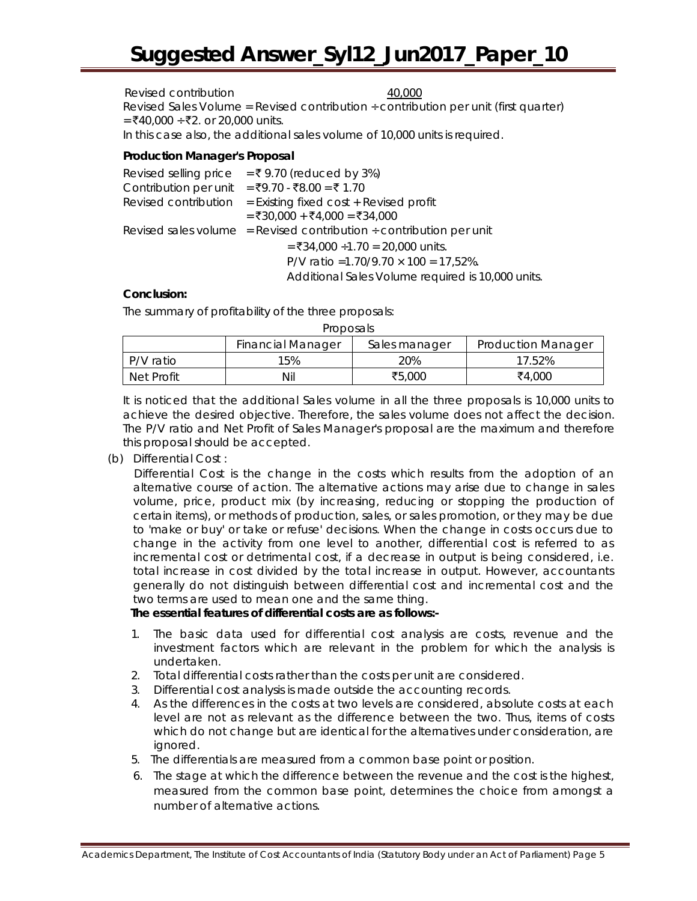Revised contribution and the 40,000 method of the 40,000 method of the 40,000 method of the 40,000 method of the 40,000 method of the 40,000 method of the 40,000 method of the 40,000 method of the 40,000 method of the 40,0 Revised Sales Volume = Revised contribution  $\div$  contribution per unit (first quarter)  $=$  ₹40,000 ÷ ₹2. or 20,000 units. In this case also, the additional sales volume of 10,000 units is required.

#### **Production Manager's Proposal**

|                       | Revised selling price = ₹9.70 (reduced by 3%)                            |
|-----------------------|--------------------------------------------------------------------------|
| Contribution per unit | = ₹9.70 - ₹8.00 = ₹1.70                                                  |
| Revised contribution  | $=$ Existing fixed cost $+$ Revised profit                               |
|                       | $=$ ₹30,000 + ₹4,000 = ₹34,000                                           |
|                       | Revised sales volume = Revised contribution $\div$ contribution per unit |
|                       | $=$ ₹34,000 ÷1.70 = 20,000 units.                                        |
|                       | P/V ratio = 1.70/9.70 $\times$ 100 = 17,52%.                             |
|                       | Additional Sales Volume required is 10,000 units.                        |

#### **Conclusion:**

The summary of profitability of the three proposals:

| PIUDUSAIS.                                                             |     |        |        |  |  |  |  |
|------------------------------------------------------------------------|-----|--------|--------|--|--|--|--|
| <b>Financial Manager</b><br><b>Production Manager</b><br>Sales manager |     |        |        |  |  |  |  |
| P/V ratio                                                              | 15% | 20%    | 17.52% |  |  |  |  |
| Net Profit                                                             | Nil | ₹5,000 | ₹4,000 |  |  |  |  |

Proposals

It is noticed that the additional Sales volume in all the three proposals is 10,000 units to achieve the desired objective. Therefore, the sales volume does not affect the decision. The P/V ratio and Net Profit of Sales Manager's proposal are the maximum and therefore this proposal should be accepted.

(b) Differential Cost :

Differential Cost is the change in the costs which results from the adoption of an alternative course of action. The alternative actions may arise due to change in sales volume, price, product mix (by increasing, reducing or stopping the production of certain items), or methods of production, sales, or sales promotion, or they may be due to 'make or buy' or take or refuse' decisions. When the change in costs occurs due to change in the activity from one level to another, differential cost is referred to as incremental cost or detrimental cost, if a decrease in output is being considered, i.e. total increase in cost divided by the total increase in output. However, accountants generally do not distinguish between differential cost and incremental cost and the two terms are used to mean one and the same thing.

#### **The essential features of differential costs are as follows:-**

- 1. The basic data used for differential cost analysis are costs, revenue and the investment factors which are relevant in the problem for which the analysis is undertaken.
- 2. Total differential costs rather than the costs per unit are considered.
- 3. Differential cost analysis is made outside the accounting records.
- 4. As the differences in the costs at two levels are considered, absolute costs at each level are not as relevant as the difference between the two. Thus, items of costs which do not change but are identical for the alternatives under consideration, are ignored.
- 5. The differentials are measured from a common base point or position.
- 6. The stage at which the difference between the revenue and the cost is the highest, measured from the common base point, determines the choice from amongst a number of alternative actions.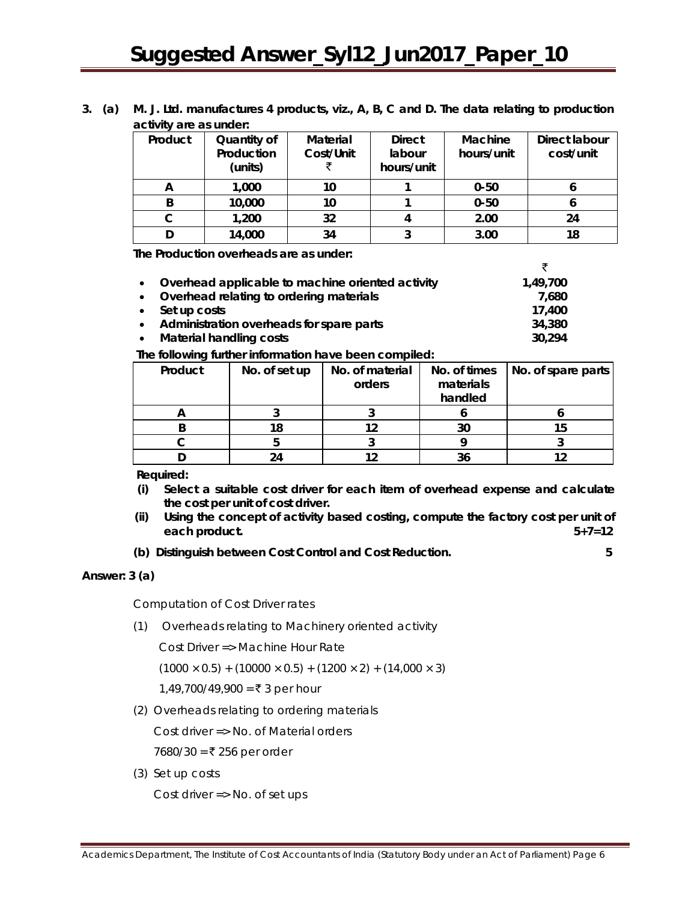|  | 3. (a) M. J. Ltd. manufactures 4 products, viz., A, B, C and D. The data relating to production |
|--|-------------------------------------------------------------------------------------------------|
|  | activity are as under:                                                                          |

| Product | Quantity of<br>Production<br>(units) | Material<br>Cost/Unit | <b>Direct</b><br>labour<br>hours/unit | Machine<br>hours/unit | Direct labour<br>cost/unit |
|---------|--------------------------------------|-----------------------|---------------------------------------|-----------------------|----------------------------|
| A       | 1,000                                | 10                    |                                       | $0 - 50$              | О                          |
| B       | 10,000                               | 10                    |                                       | $0 - 50$              |                            |
| С       | 1,200                                | 32                    |                                       | 2.00                  | 24                         |
|         | 14,000                               | 34                    |                                       | 3.00                  | 18                         |

**The Production overheads are as under:**

|           | • Overhead applicable to machine oriented activity | 1,49,700 |
|-----------|----------------------------------------------------|----------|
| $\bullet$ | Overhead relating to ordering materials            | 7.680    |
|           | $\bullet$ Set up costs                             | 17,400   |
| $\bullet$ | Administration overheads for spare parts           | 34,380   |
| $\bullet$ | <b>Material handling costs</b>                     | 30,294   |

**The following further information have been compiled:**

| Product | No. of set up | No. of material | No. of times | No. of spare parts |
|---------|---------------|-----------------|--------------|--------------------|
|         |               | orders          | materials    |                    |
|         |               |                 | handled      |                    |
|         |               |                 |              |                    |
|         | 18            |                 | 30           | 15                 |
|         |               |                 |              |                    |
|         | 74            |                 |              |                    |

**Required:**

- **(i) Select a suitable cost driver for each item of overhead expense and calculate the cost per unit of cost driver.**
- **(ii) Using the concept of activity based costing, compute the factory cost per unit of each product. 5+7=12**
- **(b) Distinguish between Cost Control and Cost Reduction. 5**

**Answer: 3 (a)** 

Computation of Cost Driver rates

(1) Overheads relating to Machinery oriented activity

Cost Driver => Machine Hour Rate

 $(1000 \times 0.5) + (10000 \times 0.5) + (1200 \times 2) + (14,000 \times 3)$ 

1,49,700/49,900 = ₹ 3 per hour

(2) Overheads relating to ordering materials

Cost driver => No. of Material orders

7680/30 = ₹ 256 per order

(3) Set up costs

Cost driver => No. of set ups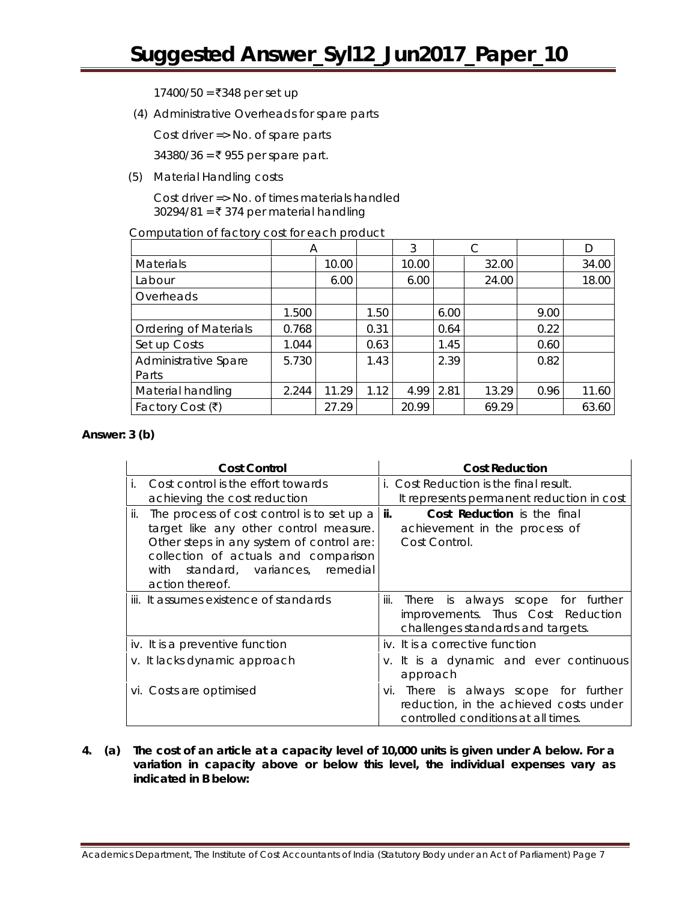$17400/50 = ₹348$  per set up

(4) Administrative Overheads for spare parts

Cost driver => No. of spare parts

34380/36 =  $\bar{x}$  955 per spare part.

(5) Material Handling costs

Cost driver => No. of times materials handled 30294/81 = ₹ 374 per material handling

Computation of factory cost for each product

|                              | A     |       |      | 3     |      |       |      | D     |
|------------------------------|-------|-------|------|-------|------|-------|------|-------|
| <b>Materials</b>             |       | 10.00 |      | 10.00 |      | 32.00 |      | 34.00 |
| Labour                       |       | 6.00  |      | 6.00  |      | 24.00 |      | 18.00 |
| Overheads                    |       |       |      |       |      |       |      |       |
|                              | 1.500 |       | 1.50 |       | 6.00 |       | 9.00 |       |
| <b>Ordering of Materials</b> | 0.768 |       | 0.31 |       | 0.64 |       | 0.22 |       |
| Set up Costs                 | 1.044 |       | 0.63 |       | 1.45 |       | 0.60 |       |
| Administrative Spare         | 5.730 |       | 1.43 |       | 2.39 |       | 0.82 |       |
| Parts                        |       |       |      |       |      |       |      |       |
| Material handling            | 2.244 | 11.29 | 1.12 | 4.99  | 2.81 | 13.29 | 0.96 | 11.60 |
| Factory Cost $(\bar{\tau})$  |       | 27.29 |      | 20.99 |      | 69.29 |      | 63.60 |

#### **Answer: 3 (b)**

| <b>Cost Control</b>                                                                                                                                                                                                                                      | <b>Cost Reduction</b>                                                                                                  |
|----------------------------------------------------------------------------------------------------------------------------------------------------------------------------------------------------------------------------------------------------------|------------------------------------------------------------------------------------------------------------------------|
| Cost control is the effort towards<br>achieving the cost reduction                                                                                                                                                                                       | <i>i.</i> Cost Reduction is the final result.<br>It represents permanent reduction in cost                             |
| The process of cost control is to set up a $\vert$ ii.<br>ii.<br>target like any other control measure.<br>Other steps in any system of control are:<br>collection of actuals and comparison<br>standard, variances, remedial<br>with<br>action thereof. | <b>Cost Reduction</b> is the final<br>achievement in the process of<br>Cost Control.                                   |
| iii. It assumes existence of standards                                                                                                                                                                                                                   | There is always scope for further<br>iii.<br>improvements. Thus Cost Reduction<br>challenges standards and targets.    |
| iv. It is a preventive function                                                                                                                                                                                                                          | iv. It is a corrective function                                                                                        |
| v. It lacks dynamic approach                                                                                                                                                                                                                             | v. It is a dynamic and ever continuous<br>approach                                                                     |
| vi. Costs are optimised                                                                                                                                                                                                                                  | vi. There is always scope for further<br>reduction, in the achieved costs under<br>controlled conditions at all times. |

**4. (a) The cost of an article at a capacity level of 10,000 units is given under A below. For a variation in capacity above or below this level, the individual expenses vary as indicated in B below:**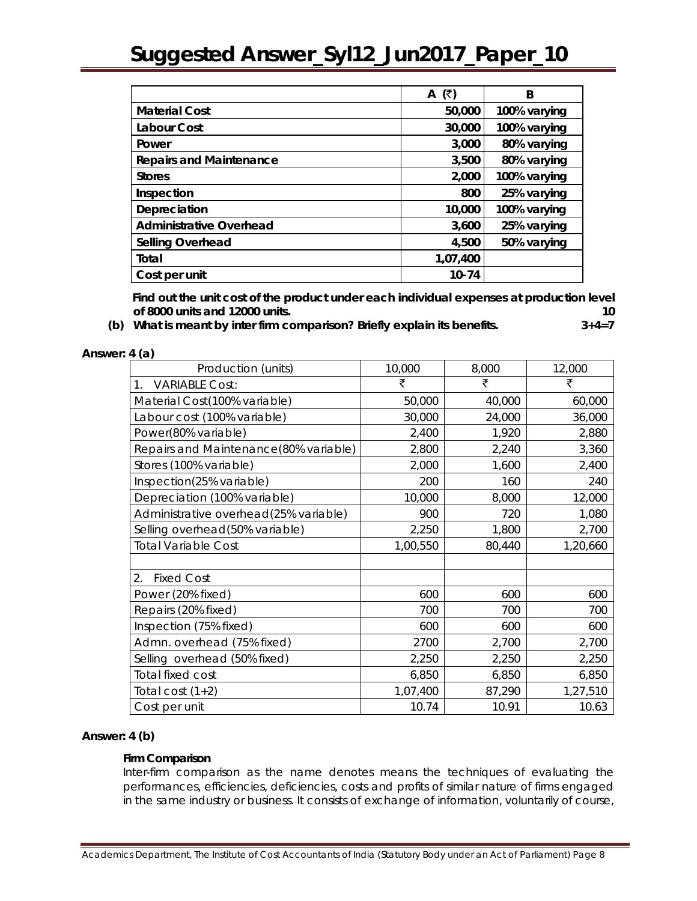|                                | (₹)<br>A  | B            |
|--------------------------------|-----------|--------------|
| <b>Material Cost</b>           | 50,000    | 100% varying |
| Labour Cost                    | 30,000    | 100% varying |
| Power                          | 3,000     | 80% varying  |
| <b>Repairs and Maintenance</b> | 3,500     | 80% varying  |
| <b>Stores</b>                  | 2,000     | 100% varying |
| Inspection                     | 800       | 25% varying  |
| Depreciation                   | 10,000    | 100% varying |
| <b>Administrative Overhead</b> | 3,600     | 25% varying  |
| Selling Overhead               | 4,500     | 50% varying  |
| Total                          | 1,07,400  |              |
| Cost per unit                  | $10 - 74$ |              |

 **Find out the unit cost of the product under each individual expenses at production level of 8000 units and 12000 units. 10**

**(b) What is meant by inter firm comparison? Briefly explain its benefits. 3+4=7**

**Answer: 4 (a)** 

| Production (units)                    | 10,000   | 8,000  | 12,000   |
|---------------------------------------|----------|--------|----------|
| <b>VARIABLE Cost:</b><br>$1_{\cdot}$  | ₹        | ₹      | ₹        |
| Material Cost(100% variable)          | 50,000   | 40,000 | 60,000   |
| Labour cost (100% variable)           | 30,000   | 24,000 | 36,000   |
| Power(80% variable)                   | 2,400    | 1,920  | 2,880    |
| Repairs and Maintenance(80% variable) | 2,800    | 2,240  | 3,360    |
| Stores (100% variable)                | 2,000    | 1,600  | 2,400    |
| Inspection(25% variable)              | 200      | 160    | 240      |
| Depreciation (100% variable)          | 10,000   | 8,000  | 12,000   |
| Administrative overhead(25% variable) | 900      | 720    | 1,080    |
| Selling overhead(50% variable)        | 2,250    | 1,800  | 2,700    |
| <b>Total Variable Cost</b>            | 1,00,550 | 80,440 | 1,20,660 |
|                                       |          |        |          |
| 2.<br><b>Fixed Cost</b>               |          |        |          |
| Power (20% fixed)                     | 600      | 600    | 600      |
| Repairs (20% fixed)                   | 700      | 700    | 700      |
| Inspection (75% fixed)                | 600      | 600    | 600      |
| Admn. overhead (75% fixed)            | 2700     | 2,700  | 2,700    |
| Selling overhead (50% fixed)          | 2,250    | 2,250  | 2,250    |
| <b>Total fixed cost</b>               | 6,850    | 6,850  | 6,850    |
| Total cost $(1+2)$                    | 1,07,400 | 87,290 | 1,27,510 |
| Cost per unit                         | 10.74    | 10.91  | 10.63    |

#### **Answer: 4 (b)**

#### **Firm Comparison**

Inter-firm comparison as the name denotes means the techniques of evaluating the performances, efficiencies, deficiencies, costs and profits of similar nature of firms engaged in the same industry or business. It consists of exchange of information, voluntarily of course,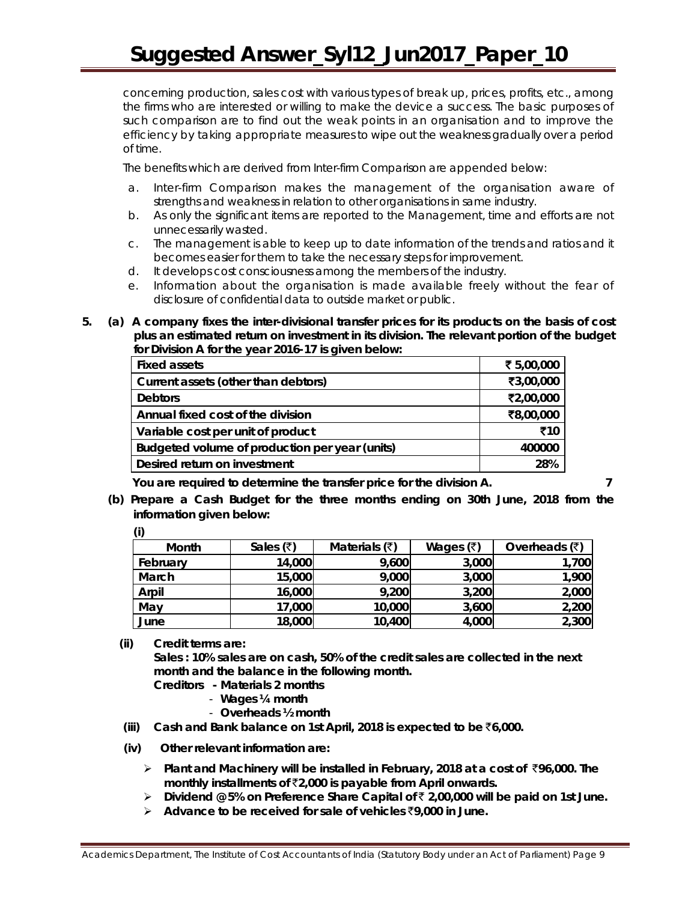concerning production, sales cost with various types of break up, prices, profits, etc., among the firms who are interested or willing to make the device a success. The basic purposes of such comparison are to find out the weak points in an organisation and to improve the efficiency by taking appropriate measures to wipe out the weakness gradually over a period of time.

The benefits which are derived from Inter-firm Comparison are appended below:

- a. Inter-firm Comparison makes the management of the organisation aware of strengths and weakness in relation to other organisations in same industry.
- b. As only the significant items are reported to the Management, time and efforts are not unnecessarily wasted.
- c. The management is able to keep up to date information of the trends and ratios and it becomes easier for them to take the necessary steps for improvement.
- d. It develops cost consciousness among the members of the industry.
- e. Information about the organisation is made available freely without the fear of disclosure of confidential data to outside market or public.
- **5. (a) A company fixes the inter-divisional transfer prices for its products on the basis of cost plus an estimated return on investment in its division. The relevant portion of the budget for Division A for the year 2016-17 is given below:**

| <b>Fixed assets</b>                            | ₹ 5,00,000 |
|------------------------------------------------|------------|
| Current assets (other than debtors)            | ₹3,00,000  |
| <b>Debtors</b>                                 | ₹2,00,000  |
| Annual fixed cost of the division              | ₹8,00,000  |
| Variable cost per unit of product              | ₹10        |
| Budgeted volume of production per year (units) | 400000     |
| Desired return on investment                   | 28%        |
|                                                |            |

 **You are required to determine the transfer price for the division A. 7**

- 
- **(b) Prepare a Cash Budget for the three months ending on 30th June, 2018 from the information given below:**

| (i)      |                            |                                |                   |                 |
|----------|----------------------------|--------------------------------|-------------------|-----------------|
| Month    | Sales $(\overline{\zeta})$ | Materials $(\overline{\zeta})$ | Wages $(\bar{x})$ | Overheads $(3)$ |
| February | 14,000                     | 9,600                          | 3,000             | 1,700           |
| March    | 15,000                     | 9,000                          | 3,000             | 1,900           |
| Arpil    | 16,000                     | 9,200                          | 3,200             | 2,000           |
| May      | 17,000                     | 10,000                         | 3,600             | 2,200           |
| June     | 18,000                     | 10,400                         | 4,000             | 2,300           |

**(ii) Credit terms are:** 

**Sales : 10% sales are on cash, 50% of the credit sales are collected in the next month and the balance in the following month.**

- **Creditors - Materials 2 months** 
	- **Wages** *¼* **month**
	- **Overheads** *½* **month**
- **(iii) Cash and Bank balance on 1st April, 2018 is expected to be** `**6,000.**
- **(iv) Other relevant information are:**
	- **Plant and Machinery will be installed in February, 2018 at a cost of** `**96,000. The monthly installments of** `**2,000 is payable from April onwards.**
	- **Dividend @ 5% on Preference Share Capital of** ` **2,00,000 will be paid on 1st June.**
	- **Advance to be received for sale of vehicles** `**9,000 in June.**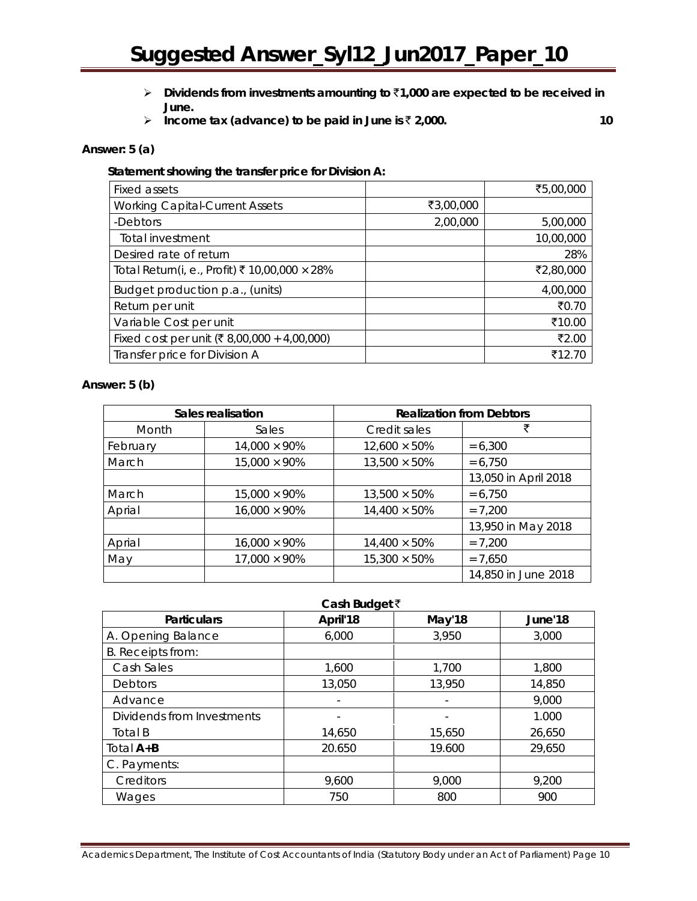- **Dividends from investments amounting to** `**1,000 are expected to be received in June.**
- **Income tax (advance) to be paid in June is ₹ 2,000.** 10

#### **Answer: 5 (a)**

#### **Statement showing the transfer price for Division A:**

| Fixed assets                                         |           | ₹5,00,000 |
|------------------------------------------------------|-----------|-----------|
| <b>Working Capital-Current Assets</b>                | ₹3,00,000 |           |
| -Debtors                                             | 2,00,000  | 5,00,000  |
| Total investment                                     |           | 10,00,000 |
| Desired rate of return                               |           | 28%       |
| Total Return(i, e., Profit) ₹ 10,00,000 $\times$ 28% |           | ₹2,80,000 |
| Budget production p.a., (units)                      |           | 4,00,000  |
| Return per unit                                      |           | ₹0.70     |
| Variable Cost per unit                               |           | ₹10.00    |
| Fixed cost per unit (₹8,00,000 + 4,00,000)           |           | ₹2.00     |
| Transfer price for Division A                        |           | ₹12.70    |

#### **Answer: 5 (b)**

| Sales realisation |                      | <b>Realization from Debtors</b> |                      |
|-------------------|----------------------|---------------------------------|----------------------|
| Month             | <b>Sales</b>         | Credit sales                    | ₹                    |
| February          | $14,000 \times 90\%$ | $12,600 \times 50\%$            | $= 6,300$            |
| March             | $15,000 \times 90\%$ | $13,500 \times 50\%$            | $= 6,750$            |
|                   |                      |                                 | 13,050 in April 2018 |
| March             | $15,000 \times 90\%$ | $13,500 \times 50\%$            | $= 6,750$            |
| Aprial            | $16,000 \times 90\%$ | $14,400 \times 50\%$            | $= 7.200$            |
|                   |                      |                                 | 13,950 in May 2018   |
| Aprial            | $16,000 \times 90\%$ | $14,400 \times 50\%$            | $= 7,200$            |
| May               | $17,000 \times 90\%$ | $15,300 \times 50\%$            | $= 7,650$            |
|                   |                      |                                 | 14,850 in June 2018  |

| Cash Budget ₹              |                          |        |         |  |
|----------------------------|--------------------------|--------|---------|--|
| <b>Particulars</b>         | April'18                 | May'18 | June'18 |  |
| A. Opening Balance         | 6,000                    | 3,950  | 3,000   |  |
| B. Receipts from:          |                          |        |         |  |
| Cash Sales                 | 1,600                    | 1,700  | 1,800   |  |
| <b>Debtors</b>             | 13,050                   | 13,950 | 14,850  |  |
| Advance                    | $\overline{\phantom{a}}$ |        | 9,000   |  |
| Dividends from Investments |                          |        | 1.000   |  |
| Total B                    | 14,650                   | 15,650 | 26,650  |  |
| Total $A+B$                | 20.650                   | 19.600 | 29,650  |  |
| C. Payments:               |                          |        |         |  |
| Creditors                  | 9,600                    | 9,000  | 9,200   |  |
| Wages                      | 750                      | 800    | 900     |  |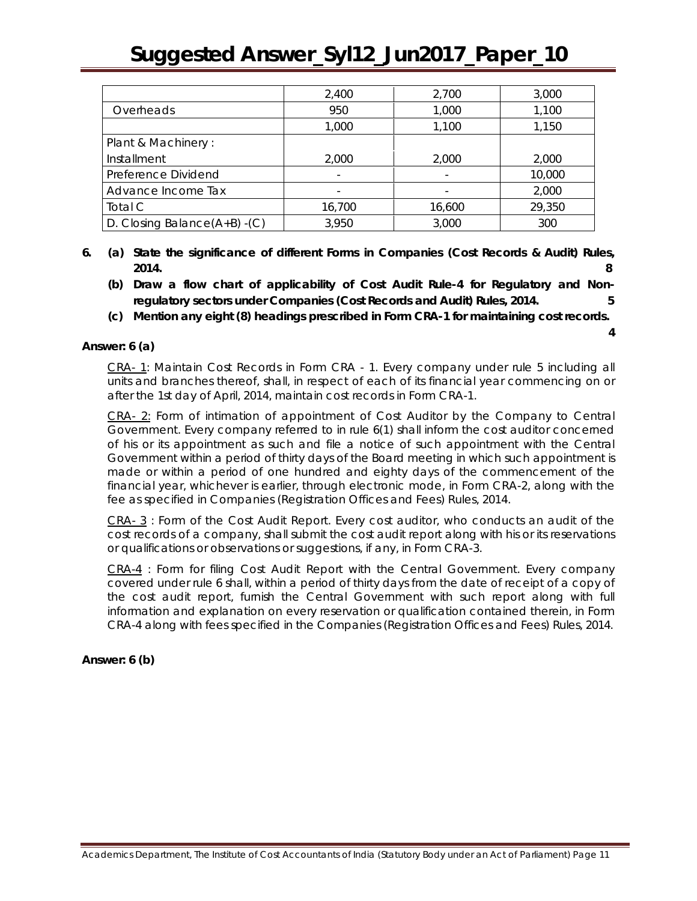|                                 | 2,400  | 2,700  | 3,000  |
|---------------------------------|--------|--------|--------|
| Overheads                       | 950    | 1,000  | 1,100  |
|                                 | 1,000  | 1,100  | 1,150  |
| Plant & Machinery:              |        |        |        |
| Installment                     | 2,000  | 2,000  | 2,000  |
| Preference Dividend             |        |        | 10,000 |
| Advance Income Tax              |        |        | 2,000  |
| Total C                         | 16,700 | 16,600 | 29,350 |
| D. Closing Balance $(A+B)$ -(C) | 3,950  | 3,000  | 300    |

- **6. (a) State the significance of different Forms in Companies (Cost Records & Audit) Rules, 2014. 8** 
	- **(b) Draw a flow chart of applicability of Cost Audit Rule-4 for Regulatory and Nonregulatory sectors under Companies (Cost Records and Audit) Rules, 2014. 5**
	- **(c) Mention any eight (8) headings prescribed in Form CRA-1 for maintaining cost records.**

**4** 

**Answer: 6 (a)**

CRA- 1: Maintain Cost Records in Form CRA - 1. Every company under rule 5 including all units and branches thereof, shall, in respect of each of its financial year commencing on or after the 1st day of April, 2014, maintain cost records in Form CRA-1.

CRA- 2: Form of intimation of appointment of Cost Auditor by the Company to Central Government. Every company referred to in rule 6(1) shall inform the cost auditor concerned of his or its appointment as such and file a notice of such appointment with the Central Government within a period of thirty days of the Board meeting in which such appointment is made or within a period of one hundred and eighty days of the commencement of the financial year, whichever is earlier, through electronic mode, in Form CRA-2, along with the fee as specified in Companies (Registration Offices and Fees) Rules, 2014.

CRA- 3 : Form of the Cost Audit Report. Every cost auditor, who conducts an audit of the cost records of a company, shall submit the cost audit report along with his or its reservations or qualifications or observations or suggestions, if any, in Form CRA-3.

CRA-4 : Form for filing Cost Audit Report with the Central Government. Every company covered under rule 6 shall, within a period of thirty days from the date of receipt of a copy of the cost audit report, furnish the Central Government with such report along with full information and explanation on every reservation or qualification contained therein, in Form CRA-4 along with fees specified in the Companies (Registration Offices and Fees) Rules, 2014.

**Answer: 6 (b)**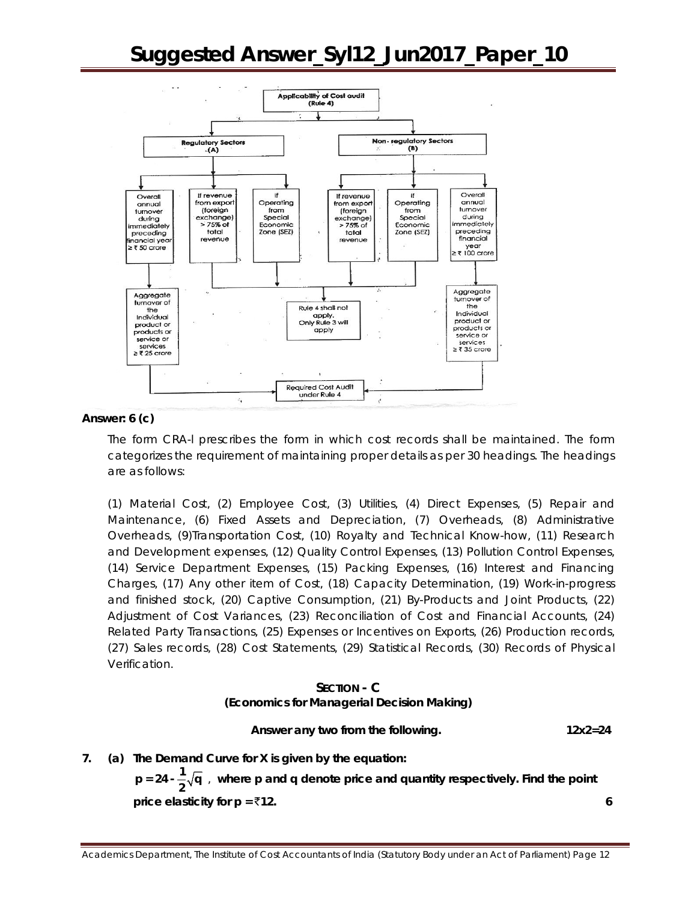

#### **Answer: 6 (c)**

The form CRA-l prescribes the form in which cost records shall be maintained. The form categorizes the requirement of maintaining proper details as per 30 headings. The headings are as follows:

(1) Material Cost, (2) Employee Cost, (3) Utilities, (4) Direct Expenses, (5) Repair and Maintenance, (6) Fixed Assets and Depreciation, (7) Overheads, (8) Administrative Overheads, (9)Transportation Cost, (10) Royalty and Technical Know-how, (11) Research and Development expenses, (12) Quality Control Expenses, (13) Pollution Control Expenses, (14) Service Department Expenses, (15) Packing Expenses, (16) Interest and Financing Charges, (17) Any other item of Cost, (18) Capacity Determination, (19) Work-in-progress and finished stock, (20) Captive Consumption, (21) By-Products and Joint Products, (22) Adjustment of Cost Variances, (23) Reconciliation of Cost and Financial Accounts, (24) Related Party Transactions, (25) Expenses or Incentives on Exports, (26) Production records, (27) Sales records, (28) Cost Statements, (29) Statistical Records, (30) Records of Physical Verification.

#### **SECTION - C (Economics for Managerial Decision Making)**

 **Answer** *any two* **from the following. 12x2=24**

**7. (a) The Demand Curve for X is given by the equation:**

 $p = 24 - \frac{1}{2}\sqrt{q}$ , where p and q denote price and quantity respectively. Find the point **price elasticity for**  $p = \overline{z}$ **12.** 6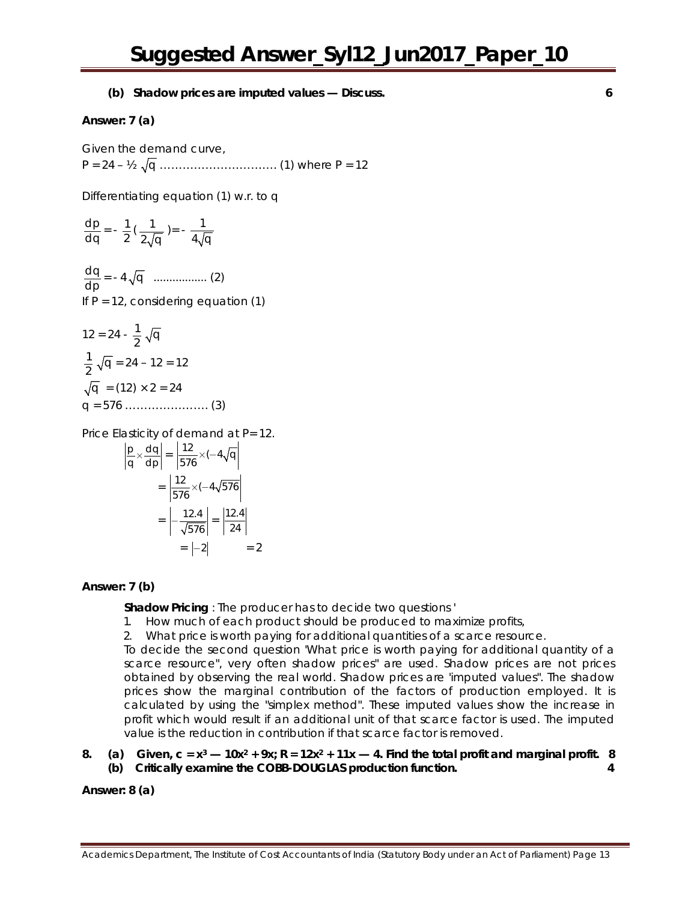**(b) Shadow prices are imputed values — Discuss. 6**

#### **Answer: 7 (a)**

Given the demand curve, P = 24 – ½ q …………………………. (1) where P = 12

Differentiating equation (1) w.r. to q

$$
\frac{dp}{dq} = -\frac{1}{2} \left( \frac{1}{2\sqrt{q}} \right) = -\frac{1}{4\sqrt{q}}
$$
  

$$
\frac{dq}{dp} = -4\sqrt{q}
$$
............. (2)  
If P = 12, considering equation (1)  

$$
12 = 24 - \frac{1}{2}\sqrt{q}
$$
  

$$
\frac{1}{2}\sqrt{q} = 24 - 12 = 12
$$
  

$$
\sqrt{q} = (12) \times 2 = 24
$$

q = 576 …………………. (3)

Price Elasticity of demand at P= 12.

$$
\left| \frac{p}{q} \times \frac{dq}{dp} \right| = \left| \frac{12}{576} \times (-4\sqrt{q}) \right|
$$

$$
= \left| \frac{12}{576} \times (-4\sqrt{576}) \right|
$$

$$
= \left| -\frac{12.4}{\sqrt{576}} \right| = \left| \frac{12.4}{24} \right|
$$

$$
= \left| -2 \right| = 2
$$

#### **Answer: 7 (b)**

**Shadow Pricing** : The producer has to decide two questions *'*

- 1. How much of each product should be produced to maximize profits,
- 2. What price is worth paying for additional quantities of a scarce resource.

To decide the second question 'What price is worth paying for additional quantity of a scarce resource", very often shadow prices" are used. Shadow prices are not prices obtained by observing the real world. Shadow prices are 'imputed values". The shadow prices show the marginal contribution of the factors of production employed. It is calculated by using the "simplex method". These imputed values show the increase in profit which would result if an additional unit of that scarce factor is used. The imputed value is the reduction in contribution if that scarce factor is removed.

8. (a) Given,  $c = x^3 - 10x^2 + 9x$ ;  $R = 12x^2 + 11x - 4$ . Find the total profit and marginal profit. 8 **(b) Critically examine the COBB-DOUGLAS production function. 4**

**Answer: 8 (a)**

Academics Department, The Institute of Cost Accountants of India (Statutory Body under an Act of Parliament) Page 13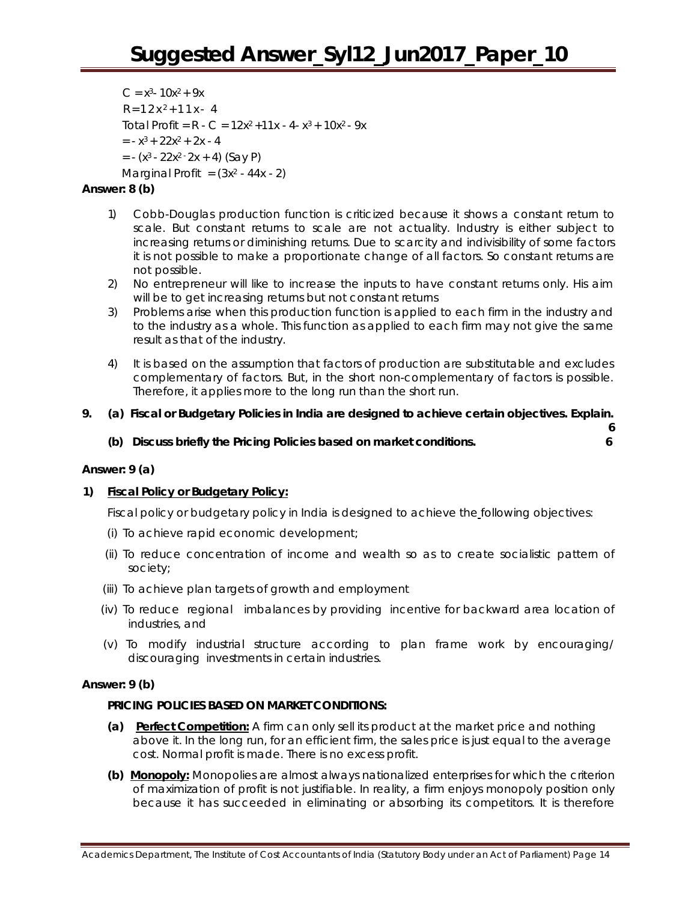$C = x^3 - 10x^2 + 9x$  $R = 12x<sup>2</sup> + 11x - 4$ Total Profit =  $R - C = 12x^2 + 11x - 4 - x^3 + 10x^2 - 9x$  $= -x^3 + 22x^2 + 2x - 4$  $= - (x<sup>3</sup> - 22x<sup>2</sup> - 2x + 4)$  (Say P) Marginal Profit  $=(3x^2 - 44x - 2)$ 

#### **Answer: 8 (b)**

- 1) Cobb-Douglas production function is criticized because it shows a constant return to scale. But constant returns to scale are not actuality. Industry is either subject to increasing returns or diminishing returns. Due to scarcity and indivisibility of some factors it is not possible to make a proportionate change of all factors. So constant returns are not possible.
- 2) No entrepreneur will like to increase the inputs to have constant returns only. His aim will be to get increasing returns but not constant returns
- 3) Problems arise when this production function is applied to each firm in the industry and to the industry as a whole. This function as applied to each firm may not give the same result as that of the industry.
- 4) It is based on the assumption that factors of production are substitutable and excludes complementary of factors. But, in the short non-complementary of factors is possible. Therefore, it applies more to the long run than the short run.

#### **9. (a) Fiscal or Budgetary Policies in India are designed to achieve certain objectives. Explain. 6**

**(b) Discuss briefly the Pricing Policies based on market conditions. 6**

#### **Answer: 9 (a)**

#### **1) Fiscal Policy or Budgetary Policy:**

Fiscal policy or budgetary policy in India is designed to achieve the following objectives:

- (i) To achieve rapid economic development;
- (ii) To reduce concentration of income and wealth so as to create socialistic pattern of society;
- (iii) To achieve plan targets of growth and employment
- (iv) To reduce regional imbalances by providing incentive for backward area location of industries, and
- (v) To modify industrial structure according to plan frame work by encouraging/ discouraging investments in certain industries.

#### **Answer: 9 (b)**

#### **PRICING POLICIES BASED ON MARKET CONDITIONS:**

- **(a) Perfect Competition:** A firm can only sell its product at the market price and nothing above it. In the long run, for an efficient firm, the sales price is just equal to the average cost. Normal profit is made. There is no excess profit.
- **(b) Monopoly:** Monopolies are almost always nationalized enterprises for which the criterion of maximization of profit is not justifiable. In reality, a firm enjoys monopoly position only because it has succeeded in eliminating or absorbing its competitors. It is therefore